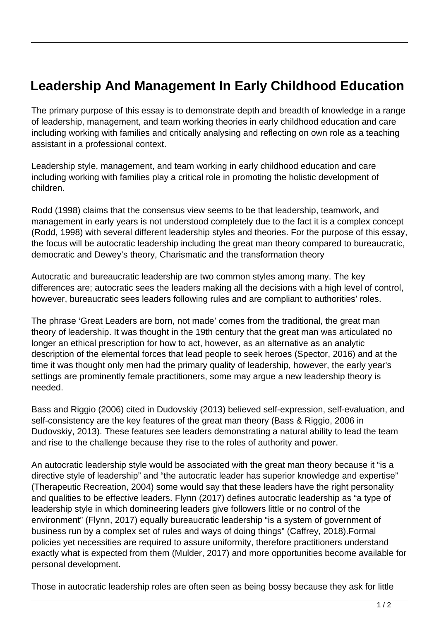## **Leadership And Management In Early Childhood Education**

The primary purpose of this essay is to demonstrate depth and breadth of knowledge in a range of leadership, management, and team working theories in early childhood education and care including working with families and critically analysing and reflecting on own role as a teaching assistant in a professional context.

Leadership style, management, and team working in early childhood education and care including working with families play a critical role in promoting the holistic development of children.

Rodd (1998) claims that the consensus view seems to be that leadership, teamwork, and management in early years is not understood completely due to the fact it is a complex concept (Rodd, 1998) with several different leadership styles and theories. For the purpose of this essay, the focus will be autocratic leadership including the great man theory compared to bureaucratic, democratic and Dewey's theory, Charismatic and the transformation theory

Autocratic and bureaucratic leadership are two common styles among many. The key differences are; autocratic sees the leaders making all the decisions with a high level of control, however, bureaucratic sees leaders following rules and are compliant to authorities' roles.

The phrase 'Great Leaders are born, not made' comes from the traditional, the great man theory of leadership. It was thought in the 19th century that the great man was articulated no longer an ethical prescription for how to act, however, as an alternative as an analytic description of the elemental forces that lead people to seek heroes (Spector, 2016) and at the time it was thought only men had the primary quality of leadership, however, the early year's settings are prominently female practitioners, some may argue a new leadership theory is needed.

Bass and Riggio (2006) cited in Dudovskiy (2013) believed self-expression, self-evaluation, and self-consistency are the key features of the great man theory (Bass & Riggio, 2006 in Dudovskiy, 2013). These features see leaders demonstrating a natural ability to lead the team and rise to the challenge because they rise to the roles of authority and power.

An autocratic leadership style would be associated with the great man theory because it "is a directive style of leadership" and "the autocratic leader has superior knowledge and expertise" (Therapeutic Recreation, 2004) some would say that these leaders have the right personality and qualities to be effective leaders. Flynn (2017) defines autocratic leadership as "a type of leadership style in which domineering leaders give followers little or no control of the environment" (Flynn, 2017) equally bureaucratic leadership "is a system of government of business run by a complex set of rules and ways of doing things" (Caffrey, 2018).Formal policies yet necessities are required to assure uniformity, therefore practitioners understand exactly what is expected from them (Mulder, 2017) and more opportunities become available for personal development.

Those in autocratic leadership roles are often seen as being bossy because they ask for little